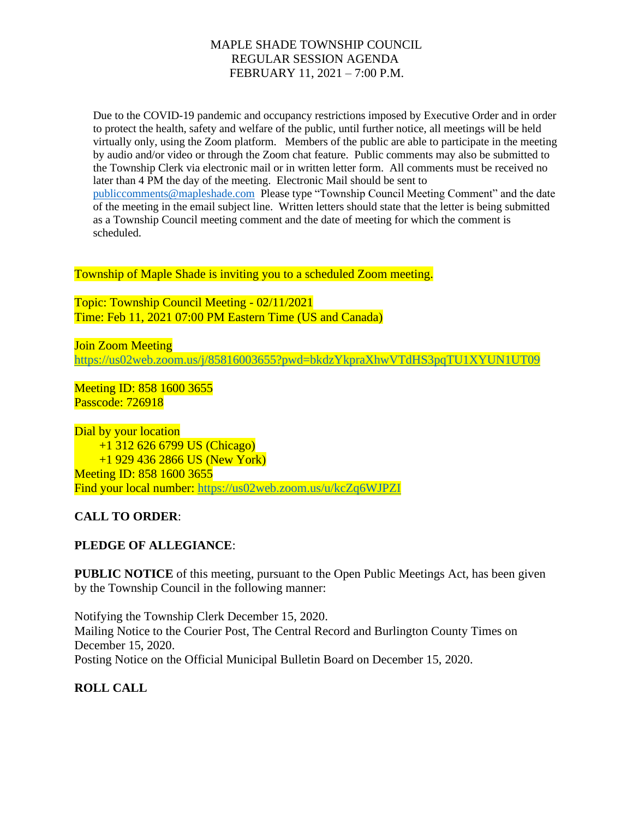# MAPLE SHADE TOWNSHIP COUNCIL REGULAR SESSION AGENDA FEBRUARY 11, 2021 – 7:00 P.M.

Due to the COVID-19 pandemic and occupancy restrictions imposed by Executive Order and in order to protect the health, safety and welfare of the public, until further notice, all meetings will be held virtually only, using the Zoom platform. Members of the public are able to participate in the meeting by audio and/or video or through the Zoom chat feature. Public comments may also be submitted to the Township Clerk via electronic mail or in written letter form. All comments must be received no later than 4 PM the day of the meeting. Electronic Mail should be sent to [publiccomments@mapleshade.com](mailto:publiccomments@mapleshade.com) Please type "Township Council Meeting Comment" and the date of the meeting in the email subject line. Written letters should state that the letter is being submitted as a Township Council meeting comment and the date of meeting for which the comment is scheduled.

Township of Maple Shade is inviting you to a scheduled Zoom meeting.

Topic: Township Council Meeting - 02/11/2021 Time: Feb 11, 2021 07:00 PM Eastern Time (US and Canada)

Join Zoom Meeting <https://us02web.zoom.us/j/85816003655?pwd=bkdzYkpraXhwVTdHS3pqTU1XYUN1UT09>

Meeting ID: 858 1600 3655 Passcode: 726918

Dial by your location +1 312 626 6799 US (Chicago) +1 929 436 2866 US (New York) Meeting ID: 858 1600 3655 Find your local number:<https://us02web.zoom.us/u/kcZq6WJPZI>

**CALL TO ORDER**:

# **PLEDGE OF ALLEGIANCE**:

**PUBLIC NOTICE** of this meeting, pursuant to the Open Public Meetings Act, has been given by the Township Council in the following manner:

Notifying the Township Clerk December 15, 2020. Mailing Notice to the Courier Post, The Central Record and Burlington County Times on December 15, 2020. Posting Notice on the Official Municipal Bulletin Board on December 15, 2020.

**ROLL CALL**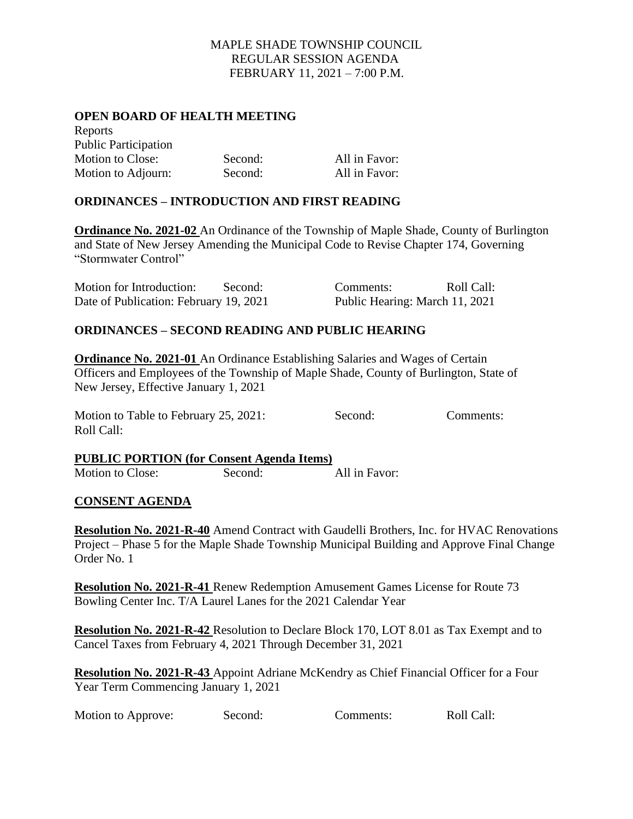# MAPLE SHADE TOWNSHIP COUNCIL REGULAR SESSION AGENDA FEBRUARY 11, 2021 – 7:00 P.M.

### **OPEN BOARD OF HEALTH MEETING**

Reports

| Second: | All in Favor: |
|---------|---------------|
| Second: | All in Favor: |
|         |               |

### **ORDINANCES – INTRODUCTION AND FIRST READING**

**Ordinance No. 2021-02** An Ordinance of the Township of Maple Shade, County of Burlington and State of New Jersey Amending the Municipal Code to Revise Chapter 174, Governing "Stormwater Control"

| Motion for Introduction:               | Second: | Comments:                      | Roll Call: |
|----------------------------------------|---------|--------------------------------|------------|
| Date of Publication: February 19, 2021 |         | Public Hearing: March 11, 2021 |            |

### **ORDINANCES – SECOND READING AND PUBLIC HEARING**

**Ordinance No. 2021-01** An Ordinance Establishing Salaries and Wages of Certain Officers and Employees of the Township of Maple Shade, County of Burlington, State of New Jersey, Effective January 1, 2021

Motion to Table to February 25, 2021: Second: Comments: Roll Call:

**PUBLIC PORTION (for Consent Agenda Items)** Motion to Close: Second: All in Favor:

#### **CONSENT AGENDA**

**Resolution No. 2021-R-40** Amend Contract with Gaudelli Brothers, Inc. for HVAC Renovations Project – Phase 5 for the Maple Shade Township Municipal Building and Approve Final Change Order No. 1

**Resolution No. 2021-R-41** Renew Redemption Amusement Games License for Route 73 Bowling Center Inc. T/A Laurel Lanes for the 2021 Calendar Year

**Resolution No. 2021-R-42** Resolution to Declare Block 170, LOT 8.01 as Tax Exempt and to Cancel Taxes from February 4, 2021 Through December 31, 2021

**Resolution No. 2021-R-43** Appoint Adriane McKendry as Chief Financial Officer for a Four Year Term Commencing January 1, 2021

Motion to Approve: Second: Comments: Roll Call: